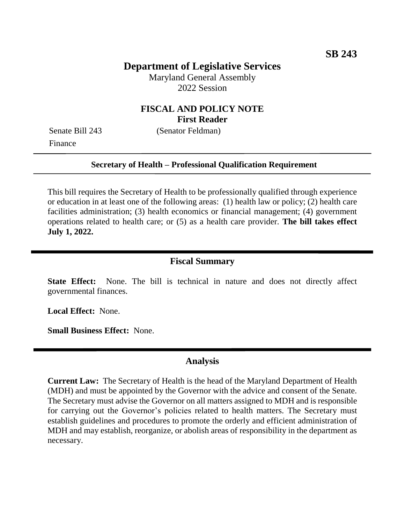## **Department of Legislative Services**

Maryland General Assembly 2022 Session

## **FISCAL AND POLICY NOTE First Reader**

Finance

Senate Bill 243 (Senator Feldman)

#### **Secretary of Health – Professional Qualification Requirement**

This bill requires the Secretary of Health to be professionally qualified through experience or education in at least one of the following areas: (1) health law or policy; (2) health care facilities administration; (3) health economics or financial management; (4) government operations related to health care; or (5) as a health care provider. **The bill takes effect July 1, 2022.**

#### **Fiscal Summary**

**State Effect:** None. The bill is technical in nature and does not directly affect governmental finances.

**Local Effect:** None.

**Small Business Effect:** None.

### **Analysis**

**Current Law:** The Secretary of Health is the head of the Maryland Department of Health (MDH) and must be appointed by the Governor with the advice and consent of the Senate. The Secretary must advise the Governor on all matters assigned to MDH and is responsible for carrying out the Governor's policies related to health matters. The Secretary must establish guidelines and procedures to promote the orderly and efficient administration of MDH and may establish, reorganize, or abolish areas of responsibility in the department as necessary.